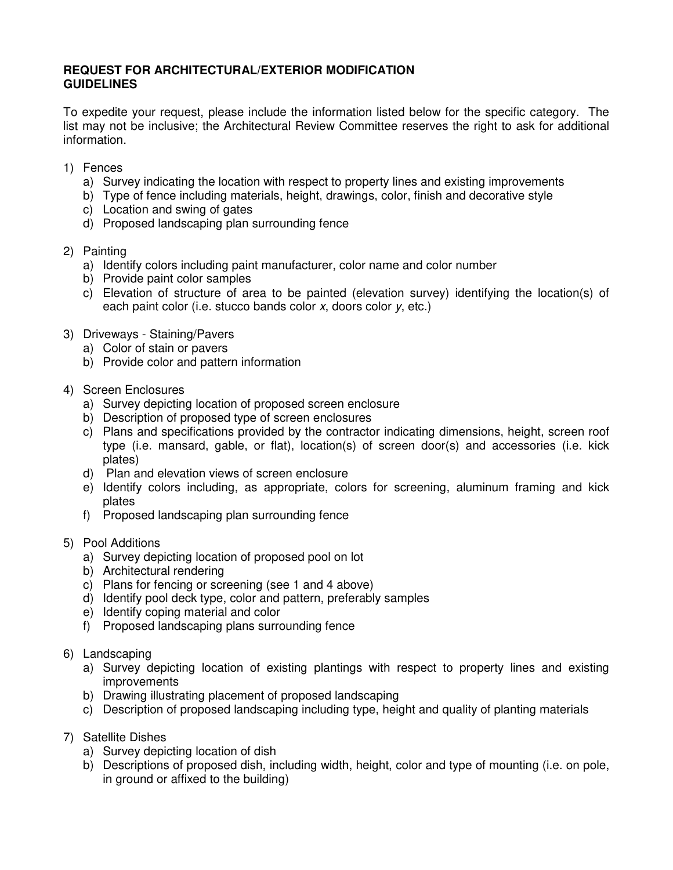#### **REQUEST FOR ARCHITECTURAL/EXTERIOR MODIFICATION GUIDELINES**

To expedite your request, please include the information listed below for the specific category. The list may not be inclusive; the Architectural Review Committee reserves the right to ask for additional information.

- 1) Fences
	- a) Survey indicating the location with respect to property lines and existing improvements
	- b) Type of fence including materials, height, drawings, color, finish and decorative style
	- c) Location and swing of gates
	- d) Proposed landscaping plan surrounding fence
- 2) Painting
	- a) Identify colors including paint manufacturer, color name and color number
	- b) Provide paint color samples
	- c) Elevation of structure of area to be painted (elevation survey) identifying the location(s) of each paint color (i.e. stucco bands color x, doors color y, etc.)
- 3) Driveways Staining/Pavers
	- a) Color of stain or pavers
	- b) Provide color and pattern information
- 4) Screen Enclosures
	- a) Survey depicting location of proposed screen enclosure
	- b) Description of proposed type of screen enclosures
	- c) Plans and specifications provided by the contractor indicating dimensions, height, screen roof type (i.e. mansard, gable, or flat), location(s) of screen door(s) and accessories (i.e. kick plates)
	- d) Plan and elevation views of screen enclosure
	- e) Identify colors including, as appropriate, colors for screening, aluminum framing and kick plates
	- f) Proposed landscaping plan surrounding fence
- 5) Pool Additions
	- a) Survey depicting location of proposed pool on lot
	- b) Architectural rendering
	- c) Plans for fencing or screening (see 1 and 4 above)
	- d) Identify pool deck type, color and pattern, preferably samples
	- e) Identify coping material and color
	- f) Proposed landscaping plans surrounding fence
- 6) Landscaping
	- a) Survey depicting location of existing plantings with respect to property lines and existing improvements
	- b) Drawing illustrating placement of proposed landscaping
	- c) Description of proposed landscaping including type, height and quality of planting materials
- 7) Satellite Dishes
	- a) Survey depicting location of dish
	- b) Descriptions of proposed dish, including width, height, color and type of mounting (i.e. on pole, in ground or affixed to the building)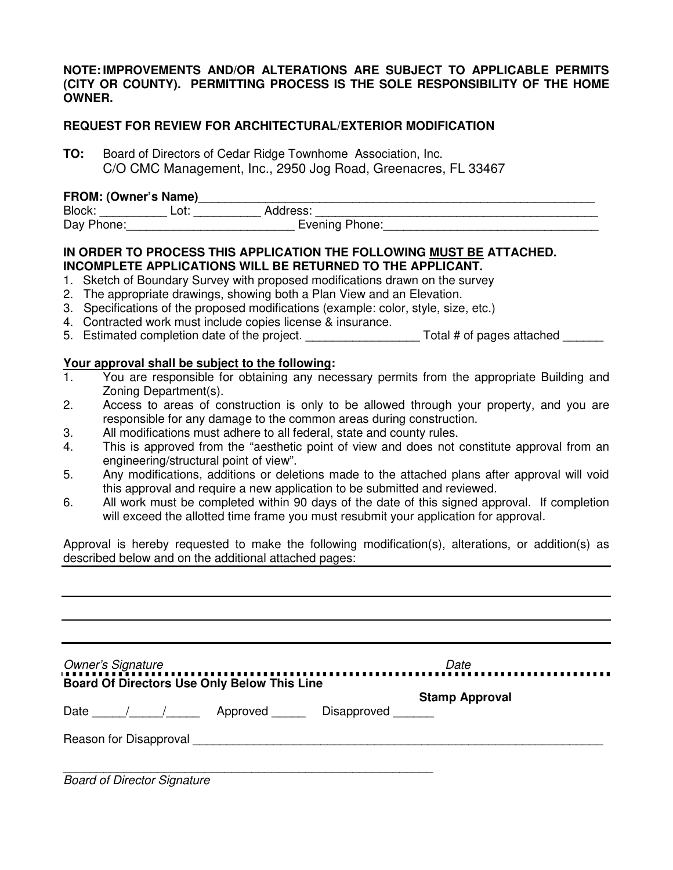#### **NOTE: IMPROVEMENTS AND/OR ALTERATIONS ARE SUBJECT TO APPLICABLE PERMITS (CITY OR COUNTY). PERMITTING PROCESS IS THE SOLE RESPONSIBILITY OF THE HOME OWNER.**

#### **REQUEST FOR REVIEW FOR ARCHITECTURAL/EXTERIOR MODIFICATION**

**TO:** Board of Directors of Cedar Ridge Townhome Association, Inc. C/O CMC Management, Inc., 2950 Jog Road, Greenacres, FL 33467

#### **FROM: (Owner's Name)**\_\_\_\_\_\_\_\_\_\_\_\_\_\_\_\_\_\_\_\_\_\_\_\_\_\_\_\_\_\_\_\_\_\_\_\_\_\_\_\_\_\_\_\_\_\_\_\_\_\_\_\_\_\_\_\_\_\_\_

| Block:     | Lot: | Address:       |  |
|------------|------|----------------|--|
| Day Phone: |      | Evening Phone: |  |

#### **IN ORDER TO PROCESS THIS APPLICATION THE FOLLOWING MUST BE ATTACHED. INCOMPLETE APPLICATIONS WILL BE RETURNED TO THE APPLICANT.**

- 1. Sketch of Boundary Survey with proposed modifications drawn on the survey
- 2. The appropriate drawings, showing both a Plan View and an Elevation.
- 3. Specifications of the proposed modifications (example: color, style, size, etc.)
- 4. Contracted work must include copies license & insurance.
- 5. Estimated completion date of the project. The state of the project. Total # of pages attached

# **Your approval shall be subject to the following:**<br>1. You are responsible for obtaining any nece

- 1. You are responsible for obtaining any necessary permits from the appropriate Building and Zoning Department(s).
- 2. Access to areas of construction is only to be allowed through your property, and you are responsible for any damage to the common areas during construction.
- 3. All modifications must adhere to all federal, state and county rules.
- 4. This is approved from the "aesthetic point of view and does not constitute approval from an engineering/structural point of view".
- 5. Any modifications, additions or deletions made to the attached plans after approval will void this approval and require a new application to be submitted and reviewed.
- 6. All work must be completed within 90 days of the date of this signed approval. If completion will exceed the allotted time frame you must resubmit your application for approval.

Approval is hereby requested to make the following modification(s), alterations, or addition(s) as described below and on the additional attached pages:

| <b>Owner's Signature</b>                                                     |  | Date                  |  |
|------------------------------------------------------------------------------|--|-----------------------|--|
| Board Of Directors Use Only Below This Line<br>Date / / Approved Disapproved |  | <b>Stamp Approval</b> |  |
|                                                                              |  |                       |  |